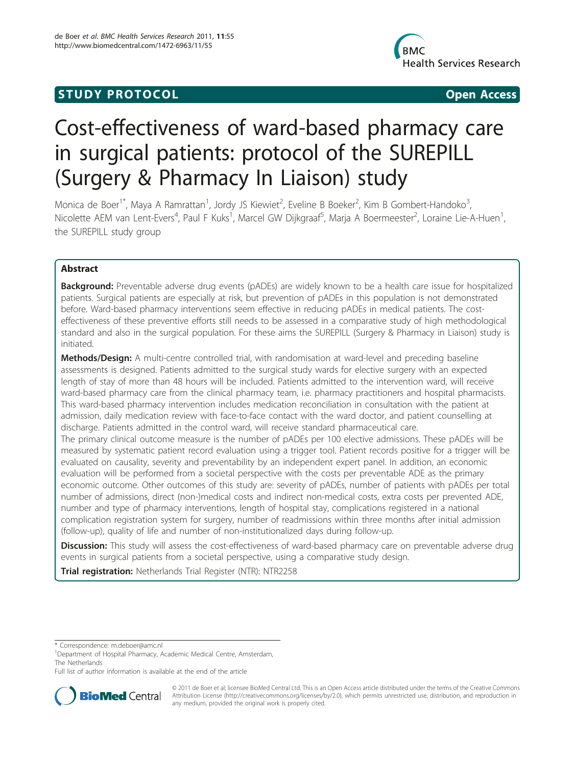# **STUDY PROTOCOL** And the state of the state of the state of the state of the state of the state of the state of the state of the state of the state of the state of the state of the state of the state of the state of the st



# Cost-effectiveness of ward-based pharmacy care in surgical patients: protocol of the SUREPILL (Surgery & Pharmacy In Liaison) study

Monica de Boer<sup>1\*</sup>, Maya A Ramrattan<sup>1</sup>, Jordy JS Kiewiet<sup>2</sup>, Eveline B Boeker<sup>2</sup>, Kim B Gombert-Handoko<sup>3</sup> , Nicolette AEM van Lent-Evers<sup>4</sup>, Paul F Kuks<sup>1</sup>, Marcel GW Dijkgraaf<sup>5</sup>, Marja A Boermeester<sup>2</sup>, Loraine Lie-A-Huen<sup>1</sup> , the SUREPILL study group

# Abstract

Background: Preventable adverse drug events (pADEs) are widely known to be a health care issue for hospitalized patients. Surgical patients are especially at risk, but prevention of pADEs in this population is not demonstrated before. Ward-based pharmacy interventions seem effective in reducing pADEs in medical patients. The costeffectiveness of these preventive efforts still needs to be assessed in a comparative study of high methodological standard and also in the surgical population. For these aims the SUREPILL (Surgery & Pharmacy in Liaison) study is initiated.

Methods/Design: A multi-centre controlled trial, with randomisation at ward-level and preceding baseline assessments is designed. Patients admitted to the surgical study wards for elective surgery with an expected length of stay of more than 48 hours will be included. Patients admitted to the intervention ward, will receive ward-based pharmacy care from the clinical pharmacy team, i.e. pharmacy practitioners and hospital pharmacists. This ward-based pharmacy intervention includes medication reconciliation in consultation with the patient at admission, daily medication review with face-to-face contact with the ward doctor, and patient counselling at discharge. Patients admitted in the control ward, will receive standard pharmaceutical care. The primary clinical outcome measure is the number of pADEs per 100 elective admissions. These pADEs will be measured by systematic patient record evaluation using a trigger tool. Patient records positive for a trigger will be evaluated on causality, severity and preventability by an independent expert panel. In addition, an economic

evaluation will be performed from a societal perspective with the costs per preventable ADE as the primary economic outcome. Other outcomes of this study are: severity of pADEs, number of patients with pADEs per total number of admissions, direct (non-)medical costs and indirect non-medical costs, extra costs per prevented ADE, number and type of pharmacy interventions, length of hospital stay, complications registered in a national complication registration system for surgery, number of readmissions within three months after initial admission (follow-up), quality of life and number of non-institutionalized days during follow-up.

Discussion: This study will assess the cost-effectiveness of ward-based pharmacy care on preventable adverse drug events in surgical patients from a societal perspective, using a comparative study design.

Trial registration: Netherlands Trial Register (NTR): [NTR2258](http://www.trialregister.nl/trialreg/admin/rctview.asp?TC=2258)

\* Correspondence: [m.deboer@amc.nl](mailto:m.deboer@amc.nl)

Full list of author information is available at the end of the article



© 2011 de Boer et al; licensee BioMed Central Ltd. This is an Open Access article distributed under the terms of the Creative Commons Attribution License [\(http://creativecommons.org/licenses/by/2.0](http://creativecommons.org/licenses/by/2.0)), which permits unrestricted use, distribution, and reproduction in any medium, provided the original work is properly cited.

<sup>&</sup>lt;sup>1</sup>Department of Hospital Pharmacy, Academic Medical Centre, Amsterdam, The Netherlands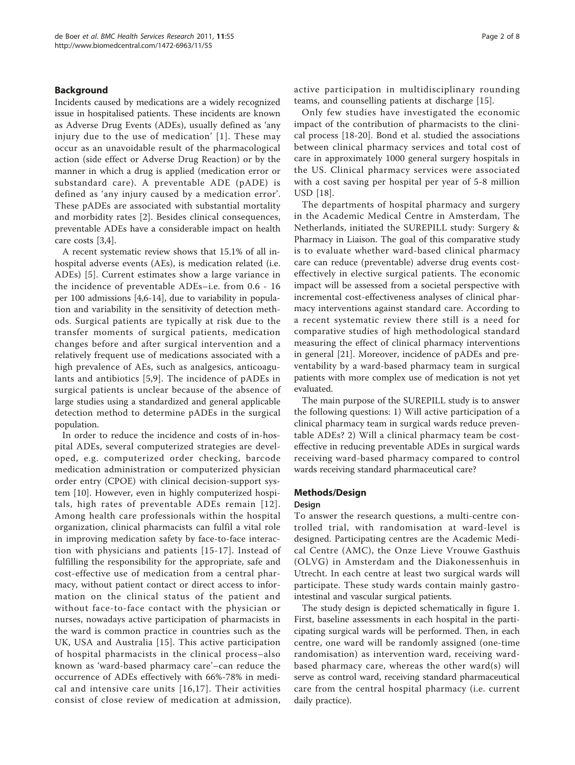# Background

Incidents caused by medications are a widely recognized issue in hospitalised patients. These incidents are known as Adverse Drug Events (ADEs), usually defined as 'any injury due to the use of medication' [[1\]](#page-6-0). These may occur as an unavoidable result of the pharmacological action (side effect or Adverse Drug Reaction) or by the manner in which a drug is applied (medication error or substandard care). A preventable ADE (pADE) is defined as 'any injury caused by a medication error'. These pADEs are associated with substantial mortality and morbidity rates [[2\]](#page-6-0). Besides clinical consequences, preventable ADEs have a considerable impact on health care costs [\[3,4](#page-6-0)].

A recent systematic review shows that 15.1% of all inhospital adverse events (AEs), is medication related (i.e. ADEs) [[5](#page-6-0)]. Current estimates show a large variance in the incidence of preventable ADEs–i.e. from 0.6 - 16 per 100 admissions [[4,6-14](#page-6-0)], due to variability in population and variability in the sensitivity of detection methods. Surgical patients are typically at risk due to the transfer moments of surgical patients, medication changes before and after surgical intervention and a relatively frequent use of medications associated with a high prevalence of AEs, such as analgesics, anticoagulants and antibiotics [[5](#page-6-0),[9\]](#page-6-0). The incidence of pADEs in surgical patients is unclear because of the absence of large studies using a standardized and general applicable detection method to determine pADEs in the surgical population.

In order to reduce the incidence and costs of in-hospital ADEs, several computerized strategies are developed, e.g. computerized order checking, barcode medication administration or computerized physician order entry (CPOE) with clinical decision-support system [\[10](#page-6-0)]. However, even in highly computerized hospitals, high rates of preventable ADEs remain [[12\]](#page-6-0). Among health care professionals within the hospital organization, clinical pharmacists can fulfil a vital role in improving medication safety by face-to-face interaction with physicians and patients [[15](#page-6-0)-[17\]](#page-6-0). Instead of fulfilling the responsibility for the appropriate, safe and cost-effective use of medication from a central pharmacy, without patient contact or direct access to information on the clinical status of the patient and without face-to-face contact with the physician or nurses, nowadays active participation of pharmacists in the ward is common practice in countries such as the UK, USA and Australia [\[15\]](#page-6-0). This active participation of hospital pharmacists in the clinical process–also known as 'ward-based pharmacy care'–can reduce the occurrence of ADEs effectively with 66%-78% in medical and intensive care units [[16,17\]](#page-6-0). Their activities consist of close review of medication at admission, active participation in multidisciplinary rounding teams, and counselling patients at discharge [[15\]](#page-6-0).

Only few studies have investigated the economic impact of the contribution of pharmacists to the clinical process [\[18](#page-6-0)-[20\]](#page-6-0). Bond et al. studied the associations between clinical pharmacy services and total cost of care in approximately 1000 general surgery hospitals in the US. Clinical pharmacy services were associated with a cost saving per hospital per year of 5-8 million USD [[18\]](#page-6-0).

The departments of hospital pharmacy and surgery in the Academic Medical Centre in Amsterdam, The Netherlands, initiated the SUREPILL study: Surgery & Pharmacy in Liaison. The goal of this comparative study is to evaluate whether ward-based clinical pharmacy care can reduce (preventable) adverse drug events costeffectively in elective surgical patients. The economic impact will be assessed from a societal perspective with incremental cost-effectiveness analyses of clinical pharmacy interventions against standard care. According to a recent systematic review there still is a need for comparative studies of high methodological standard measuring the effect of clinical pharmacy interventions in general [[21](#page-6-0)]. Moreover, incidence of pADEs and preventability by a ward-based pharmacy team in surgical patients with more complex use of medication is not yet evaluated.

The main purpose of the SUREPILL study is to answer the following questions: 1) Will active participation of a clinical pharmacy team in surgical wards reduce preventable ADEs? 2) Will a clinical pharmacy team be costeffective in reducing preventable ADEs in surgical wards receiving ward-based pharmacy compared to control wards receiving standard pharmaceutical care?

# Methods/Design

# **Design**

To answer the research questions, a multi-centre controlled trial, with randomisation at ward-level is designed. Participating centres are the Academic Medical Centre (AMC), the Onze Lieve Vrouwe Gasthuis (OLVG) in Amsterdam and the Diakonessenhuis in Utrecht. In each centre at least two surgical wards will participate. These study wards contain mainly gastrointestinal and vascular surgical patients.

The study design is depicted schematically in figure [1](#page-2-0). First, baseline assessments in each hospital in the participating surgical wards will be performed. Then, in each centre, one ward will be randomly assigned (one-time randomisation) as intervention ward, receiving wardbased pharmacy care, whereas the other ward(s) will serve as control ward, receiving standard pharmaceutical care from the central hospital pharmacy (i.e. current daily practice).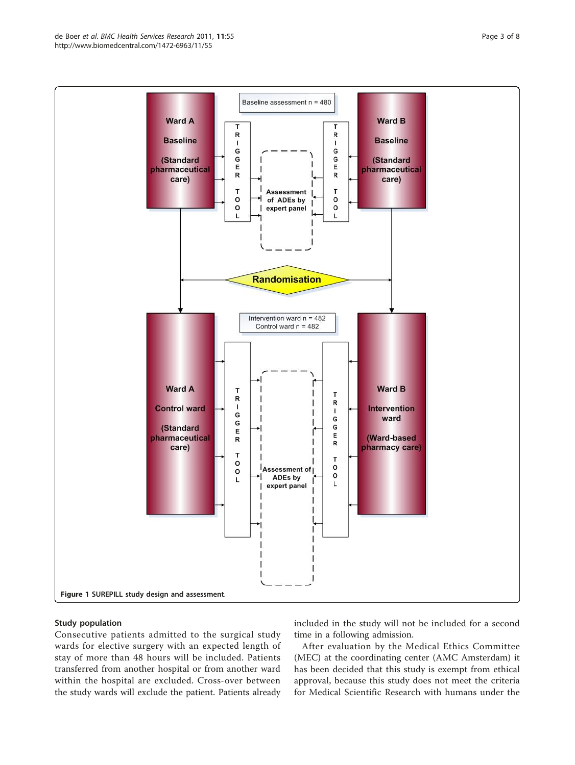<span id="page-2-0"></span>

# Study population

Consecutive patients admitted to the surgical study wards for elective surgery with an expected length of stay of more than 48 hours will be included. Patients transferred from another hospital or from another ward within the hospital are excluded. Cross-over between the study wards will exclude the patient. Patients already

included in the study will not be included for a second time in a following admission.

After evaluation by the Medical Ethics Committee (MEC) at the coordinating center (AMC Amsterdam) it has been decided that this study is exempt from ethical approval, because this study does not meet the criteria for Medical Scientific Research with humans under the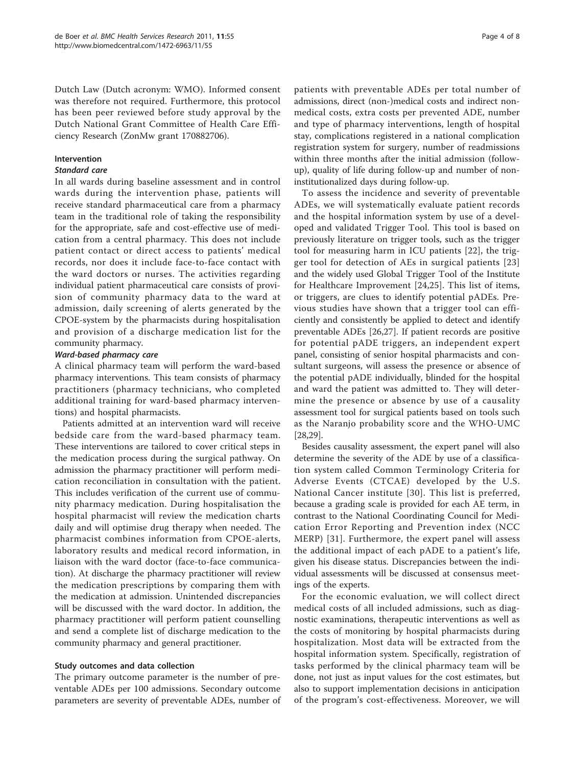Dutch Law (Dutch acronym: WMO). Informed consent was therefore not required. Furthermore, this protocol has been peer reviewed before study approval by the Dutch National Grant Committee of Health Care Efficiency Research (ZonMw grant 170882706).

# Intervention

### Standard care

In all wards during baseline assessment and in control wards during the intervention phase, patients will receive standard pharmaceutical care from a pharmacy team in the traditional role of taking the responsibility for the appropriate, safe and cost-effective use of medication from a central pharmacy. This does not include patient contact or direct access to patients' medical records, nor does it include face-to-face contact with the ward doctors or nurses. The activities regarding individual patient pharmaceutical care consists of provision of community pharmacy data to the ward at admission, daily screening of alerts generated by the CPOE-system by the pharmacists during hospitalisation and provision of a discharge medication list for the community pharmacy.

# Ward-based pharmacy care

A clinical pharmacy team will perform the ward-based pharmacy interventions. This team consists of pharmacy practitioners (pharmacy technicians, who completed additional training for ward-based pharmacy interventions) and hospital pharmacists.

Patients admitted at an intervention ward will receive bedside care from the ward-based pharmacy team. These interventions are tailored to cover critical steps in the medication process during the surgical pathway. On admission the pharmacy practitioner will perform medication reconciliation in consultation with the patient. This includes verification of the current use of community pharmacy medication. During hospitalisation the hospital pharmacist will review the medication charts daily and will optimise drug therapy when needed. The pharmacist combines information from CPOE-alerts, laboratory results and medical record information, in liaison with the ward doctor (face-to-face communication). At discharge the pharmacy practitioner will review the medication prescriptions by comparing them with the medication at admission. Unintended discrepancies will be discussed with the ward doctor. In addition, the pharmacy practitioner will perform patient counselling and send a complete list of discharge medication to the community pharmacy and general practitioner.

### Study outcomes and data collection

The primary outcome parameter is the number of preventable ADEs per 100 admissions. Secondary outcome parameters are severity of preventable ADEs, number of

patients with preventable ADEs per total number of admissions, direct (non-)medical costs and indirect nonmedical costs, extra costs per prevented ADE, number and type of pharmacy interventions, length of hospital stay, complications registered in a national complication registration system for surgery, number of readmissions within three months after the initial admission (followup), quality of life during follow-up and number of noninstitutionalized days during follow-up.

To assess the incidence and severity of preventable ADEs, we will systematically evaluate patient records and the hospital information system by use of a developed and validated Trigger Tool. This tool is based on previously literature on trigger tools, such as the trigger tool for measuring harm in ICU patients [[22\]](#page-6-0), the trigger tool for detection of AEs in surgical patients [[23](#page-7-0)] and the widely used Global Trigger Tool of the Institute for Healthcare Improvement [[24,25\]](#page-7-0). This list of items, or triggers, are clues to identify potential pADEs. Previous studies have shown that a trigger tool can efficiently and consistently be applied to detect and identify preventable ADEs [[26](#page-7-0),[27](#page-7-0)]. If patient records are positive for potential pADE triggers, an independent expert panel, consisting of senior hospital pharmacists and consultant surgeons, will assess the presence or absence of the potential pADE individually, blinded for the hospital and ward the patient was admitted to. They will determine the presence or absence by use of a causality assessment tool for surgical patients based on tools such as the Naranjo probability score and the WHO-UMC [[28,29\]](#page-7-0).

Besides causality assessment, the expert panel will also determine the severity of the ADE by use of a classification system called Common Terminology Criteria for Adverse Events (CTCAE) developed by the U.S. National Cancer institute [[30](#page-7-0)]. This list is preferred, because a grading scale is provided for each AE term, in contrast to the National Coordinating Council for Medication Error Reporting and Prevention index (NCC MERP) [[31](#page-7-0)]. Furthermore, the expert panel will assess the additional impact of each pADE to a patient's life, given his disease status. Discrepancies between the individual assessments will be discussed at consensus meetings of the experts.

For the economic evaluation, we will collect direct medical costs of all included admissions, such as diagnostic examinations, therapeutic interventions as well as the costs of monitoring by hospital pharmacists during hospitalization. Most data will be extracted from the hospital information system. Specifically, registration of tasks performed by the clinical pharmacy team will be done, not just as input values for the cost estimates, but also to support implementation decisions in anticipation of the program's cost-effectiveness. Moreover, we will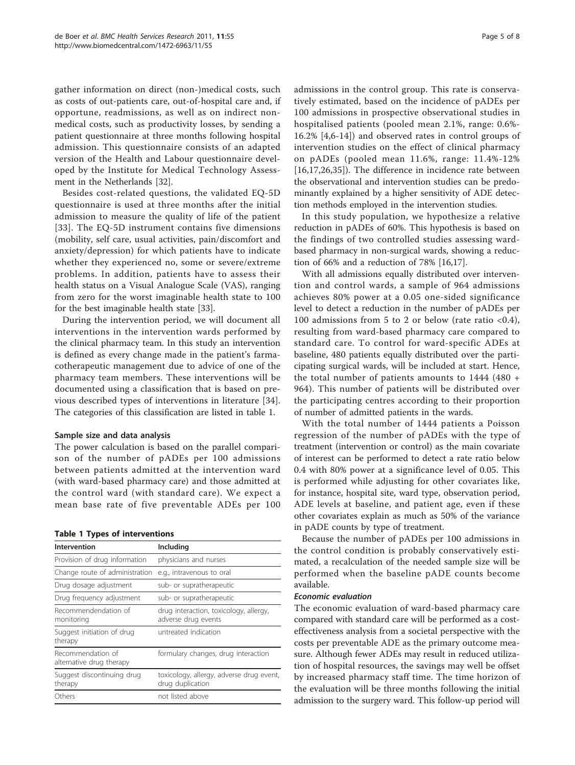gather information on direct (non-)medical costs, such as costs of out-patients care, out-of-hospital care and, if opportune, readmissions, as well as on indirect nonmedical costs, such as productivity losses, by sending a patient questionnaire at three months following hospital admission. This questionnaire consists of an adapted version of the Health and Labour questionnaire developed by the Institute for Medical Technology Assessment in the Netherlands [\[32\]](#page-7-0).

Besides cost-related questions, the validated EQ-5D questionnaire is used at three months after the initial admission to measure the quality of life of the patient [[33](#page-7-0)]. The EQ-5D instrument contains five dimensions (mobility, self care, usual activities, pain/discomfort and anxiety/depression) for which patients have to indicate whether they experienced no, some or severe/extreme problems. In addition, patients have to assess their health status on a Visual Analogue Scale (VAS), ranging from zero for the worst imaginable health state to 100 for the best imaginable health state [[33\]](#page-7-0).

During the intervention period, we will document all interventions in the intervention wards performed by the clinical pharmacy team. In this study an intervention is defined as every change made in the patient's farmacotherapeutic management due to advice of one of the pharmacy team members. These interventions will be documented using a classification that is based on previous described types of interventions in literature [\[34](#page-7-0)]. The categories of this classification are listed in table 1.

### Sample size and data analysis

The power calculation is based on the parallel comparison of the number of pADEs per 100 admissions between patients admitted at the intervention ward (with ward-based pharmacy care) and those admitted at the control ward (with standard care). We expect a mean base rate of five preventable ADEs per 100

#### Table 1 Types of interventions

| Intervention                                  | Including                                                     |
|-----------------------------------------------|---------------------------------------------------------------|
| Provision of drug information                 | physicians and nurses                                         |
| Change route of administration                | e.g., intravenous to oral                                     |
| Drug dosage adjustment                        | sub- or supratherapeutic                                      |
| Drug frequency adjustment                     | sub- or supratherapeutic                                      |
| Recommendendation of<br>monitoring            | drug interaction, toxicology, allergy,<br>adverse drug events |
| Suggest initiation of drug<br>therapy         | untreated indication                                          |
| Recommendation of<br>alternative drug therapy | formulary changes, drug interaction                           |
| Suggest discontinuing drug<br>therapy         | toxicology, allergy, adverse drug event,<br>drug duplication  |
| Others                                        | not listed above                                              |

admissions in the control group. This rate is conservatively estimated, based on the incidence of pADEs per 100 admissions in prospective observational studies in hospitalised patients (pooled mean 2.1%, range: 0.6%- 16.2% [[4,6-14](#page-6-0)]) and observed rates in control groups of intervention studies on the effect of clinical pharmacy on pADEs (pooled mean 11.6%, range: 11.4%-12% [[16,17](#page-6-0)[,26](#page-7-0),[35\]](#page-7-0)). The difference in incidence rate between the observational and intervention studies can be predominantly explained by a higher sensitivity of ADE detection methods employed in the intervention studies.

In this study population, we hypothesize a relative reduction in pADEs of 60%. This hypothesis is based on the findings of two controlled studies assessing wardbased pharmacy in non-surgical wards, showing a reduction of 66% and a reduction of 78% [\[16,17](#page-6-0)].

With all admissions equally distributed over intervention and control wards, a sample of 964 admissions achieves 80% power at a 0.05 one-sided significance level to detect a reduction in the number of pADEs per 100 admissions from 5 to 2 or below (rate ratio <0.4), resulting from ward-based pharmacy care compared to standard care. To control for ward-specific ADEs at baseline, 480 patients equally distributed over the participating surgical wards, will be included at start. Hence, the total number of patients amounts to 1444 (480 + 964). This number of patients will be distributed over the participating centres according to their proportion of number of admitted patients in the wards.

With the total number of 1444 patients a Poisson regression of the number of pADEs with the type of treatment (intervention or control) as the main covariate of interest can be performed to detect a rate ratio below 0.4 with 80% power at a significance level of 0.05. This is performed while adjusting for other covariates like, for instance, hospital site, ward type, observation period, ADE levels at baseline, and patient age, even if these other covariates explain as much as 50% of the variance in pADE counts by type of treatment.

Because the number of pADEs per 100 admissions in the control condition is probably conservatively estimated, a recalculation of the needed sample size will be performed when the baseline pADE counts become available.

### Economic evaluation

The economic evaluation of ward-based pharmacy care compared with standard care will be performed as a costeffectiveness analysis from a societal perspective with the costs per preventable ADE as the primary outcome measure. Although fewer ADEs may result in reduced utilization of hospital resources, the savings may well be offset by increased pharmacy staff time. The time horizon of the evaluation will be three months following the initial admission to the surgery ward. This follow-up period will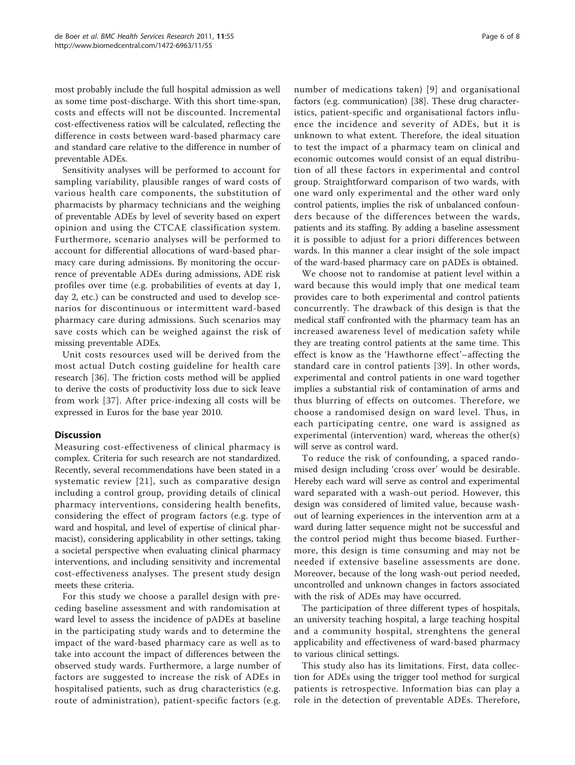most probably include the full hospital admission as well as some time post-discharge. With this short time-span, costs and effects will not be discounted. Incremental cost-effectiveness ratios will be calculated, reflecting the difference in costs between ward-based pharmacy care and standard care relative to the difference in number of preventable ADEs.

Sensitivity analyses will be performed to account for sampling variability, plausible ranges of ward costs of various health care components, the substitution of pharmacists by pharmacy technicians and the weighing of preventable ADEs by level of severity based on expert opinion and using the CTCAE classification system. Furthermore, scenario analyses will be performed to account for differential allocations of ward-based pharmacy care during admissions. By monitoring the occurrence of preventable ADEs during admissions, ADE risk profiles over time (e.g. probabilities of events at day 1, day 2, etc.) can be constructed and used to develop scenarios for discontinuous or intermittent ward-based pharmacy care during admissions. Such scenarios may save costs which can be weighed against the risk of missing preventable ADEs.

Unit costs resources used will be derived from the most actual Dutch costing guideline for health care research [[36\]](#page-7-0). The friction costs method will be applied to derive the costs of productivity loss due to sick leave from work [[37](#page-7-0)]. After price-indexing all costs will be expressed in Euros for the base year 2010.

# **Discussion**

Measuring cost-effectiveness of clinical pharmacy is complex. Criteria for such research are not standardized. Recently, several recommendations have been stated in a systematic review [[21](#page-6-0)], such as comparative design including a control group, providing details of clinical pharmacy interventions, considering health benefits, considering the effect of program factors (e.g. type of ward and hospital, and level of expertise of clinical pharmacist), considering applicability in other settings, taking a societal perspective when evaluating clinical pharmacy interventions, and including sensitivity and incremental cost-effectiveness analyses. The present study design meets these criteria.

For this study we choose a parallel design with preceding baseline assessment and with randomisation at ward level to assess the incidence of pADEs at baseline in the participating study wards and to determine the impact of the ward-based pharmacy care as well as to take into account the impact of differences between the observed study wards. Furthermore, a large number of factors are suggested to increase the risk of ADEs in hospitalised patients, such as drug characteristics (e.g. route of administration), patient-specific factors (e.g. number of medications taken) [[9](#page-6-0)] and organisational factors (e.g. communication) [[38\]](#page-7-0). These drug characteristics, patient-specific and organisational factors influence the incidence and severity of ADEs, but it is unknown to what extent. Therefore, the ideal situation to test the impact of a pharmacy team on clinical and economic outcomes would consist of an equal distribution of all these factors in experimental and control group. Straightforward comparison of two wards, with one ward only experimental and the other ward only control patients, implies the risk of unbalanced confounders because of the differences between the wards, patients and its staffing. By adding a baseline assessment it is possible to adjust for a priori differences between wards. In this manner a clear insight of the sole impact of the ward-based pharmacy care on pADEs is obtained.

We choose not to randomise at patient level within a ward because this would imply that one medical team provides care to both experimental and control patients concurrently. The drawback of this design is that the medical staff confronted with the pharmacy team has an increased awareness level of medication safety while they are treating control patients at the same time. This effect is know as the 'Hawthorne effect'–affecting the standard care in control patients [[39\]](#page-7-0). In other words, experimental and control patients in one ward together implies a substantial risk of contamination of arms and thus blurring of effects on outcomes. Therefore, we choose a randomised design on ward level. Thus, in each participating centre, one ward is assigned as experimental (intervention) ward, whereas the other(s) will serve as control ward.

To reduce the risk of confounding, a spaced randomised design including 'cross over' would be desirable. Hereby each ward will serve as control and experimental ward separated with a wash-out period. However, this design was considered of limited value, because washout of learning experiences in the intervention arm at a ward during latter sequence might not be successful and the control period might thus become biased. Furthermore, this design is time consuming and may not be needed if extensive baseline assessments are done. Moreover, because of the long wash-out period needed, uncontrolled and unknown changes in factors associated with the risk of ADEs may have occurred.

The participation of three different types of hospitals, an university teaching hospital, a large teaching hospital and a community hospital, strenghtens the general applicability and effectiveness of ward-based pharmacy to various clinical settings.

This study also has its limitations. First, data collection for ADEs using the trigger tool method for surgical patients is retrospective. Information bias can play a role in the detection of preventable ADEs. Therefore,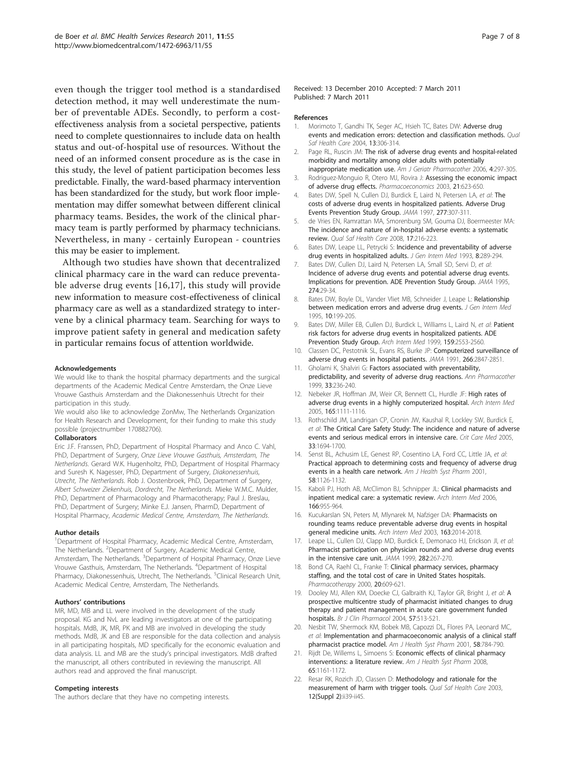<span id="page-6-0"></span>even though the trigger tool method is a standardised detection method, it may well underestimate the number of preventable ADEs. Secondly, to perform a costeffectiveness analysis from a societal perspective, patients need to complete questionnaires to include data on health status and out-of-hospital use of resources. Without the need of an informed consent procedure as is the case in this study, the level of patient participation becomes less predictable. Finally, the ward-based pharmacy intervention has been standardized for the study, but work floor implementation may differ somewhat between different clinical pharmacy teams. Besides, the work of the clinical pharmacy team is partly performed by pharmacy technicians. Nevertheless, in many - certainly European - countries this may be easier to implement.

Although two studies have shown that decentralized clinical pharmacy care in the ward can reduce preventable adverse drug events [16,17], this study will provide new information to measure cost-effectiveness of clinical pharmacy care as well as a standardized strategy to intervene by a clinical pharmacy team. Searching for ways to improve patient safety in general and medication safety in particular remains focus of attention worldwide.

#### Acknowledgements

We would like to thank the hospital pharmacy departments and the surgical departments of the Academic Medical Centre Amsterdam, the Onze Lieve Vrouwe Gasthuis Amsterdam and the Diakonessenhuis Utrecht for their participation in this study.

We would also like to acknowledge ZonMw, The Netherlands Organization for Health Research and Development, for their funding to make this study possible (projectnumber 170882706).

#### **Collaborators**

Eric J.F. Franssen, PhD, Department of Hospital Pharmacy and Anco C. Vahl, PhD, Department of Surgery, Onze Lieve Vrouwe Gasthuis, Amsterdam, The Netherlands. Gerard W.K. Hugenholtz, PhD, Department of Hospital Pharmacy and Suresh K. Nagesser, PhD, Department of Surgery, Diakonessenhuis, Utrecht, The Netherlands. Rob J. Oostenbroek, PhD, Department of Surgery, Albert Schweizer Ziekenhuis, Dordrecht, The Netherlands. Mieke W.M.C. Mulder, PhD, Department of Pharmacology and Pharmacotherapy; Paul J. Breslau, PhD, Department of Surgery; Minke E.J. Jansen, PharmD, Department of Hospital Pharmacy, Academic Medical Centre, Amsterdam, The Netherlands.

#### Author details

<sup>1</sup>Department of Hospital Pharmacy, Academic Medical Centre, Amsterdam, The Netherlands. <sup>2</sup>Department of Surgery, Academic Medical Centre, Amsterdam, The Netherlands. <sup>3</sup>Department of Hospital Pharmacy, Onze Lieve Vrouwe Gasthuis, Amsterdam, The Netherlands. <sup>4</sup>Department of Hospital Pharmacy, Diakonessenhuis, Utrecht, The Netherlands. <sup>5</sup>Clinical Research Unit, Academic Medical Centre, Amsterdam, The Netherlands.

#### Authors' contributions

MR, MD, MB and LL were involved in the development of the study proposal. KG and NvL are leading investigators at one of the participating hospitals. MdB, JK, MR, PK and MB are involved in developing the study methods. MdB, JK and EB are responsible for the data collection and analysis in all participating hospitals, MD specifically for the economic evaluation and data analysis. LL and MB are the study's principal investigators. MdB drafted the manuscript, all others contributed in reviewing the manuscript. All authors read and approved the final manuscript.

#### Competing interests

The authors declare that they have no competing interests.

Received: 13 December 2010 Accepted: 7 March 2011 Published: 7 March 2011

#### References

- 1. Morimoto T, Gandhi TK, Seger AC, Hsieh TC, Bates DW: [Adverse drug](http://www.ncbi.nlm.nih.gov/pubmed/15289635?dopt=Abstract) [events and medication errors: detection and classification methods.](http://www.ncbi.nlm.nih.gov/pubmed/15289635?dopt=Abstract) Qual Saf Health Care 2004, 13:306-314.
- 2. Page RL, Ruscin JM: [The risk of adverse drug events and hospital-related](http://www.ncbi.nlm.nih.gov/pubmed/17296535?dopt=Abstract) [morbidity and mortality among older adults with potentially](http://www.ncbi.nlm.nih.gov/pubmed/17296535?dopt=Abstract) [inappropriate medication use.](http://www.ncbi.nlm.nih.gov/pubmed/17296535?dopt=Abstract) Am J Geriatr Pharmacother 2006, 4:297-305.
- 3. Rodriguez-Monguio R, Otero MJ, Rovira J: [Assessing the economic impact](http://www.ncbi.nlm.nih.gov/pubmed/12807365?dopt=Abstract) [of adverse drug effects.](http://www.ncbi.nlm.nih.gov/pubmed/12807365?dopt=Abstract) Pharmacoeconomics 2003, 21:623-650.
- 4. Bates DW, Spell N, Cullen DJ, Burdick E, Laird N, Petersen LA, et al: [The](http://www.ncbi.nlm.nih.gov/pubmed/9002493?dopt=Abstract) [costs of adverse drug events in hospitalized patients. Adverse Drug](http://www.ncbi.nlm.nih.gov/pubmed/9002493?dopt=Abstract) [Events Prevention Study Group.](http://www.ncbi.nlm.nih.gov/pubmed/9002493?dopt=Abstract) JAMA 1997, 277:307-311.
- 5. de Vries EN, Ramrattan MA, Smorenburg SM, Gouma DJ, Boermeester MA: [The incidence and nature of in-hospital adverse events: a systematic](http://www.ncbi.nlm.nih.gov/pubmed/18519629?dopt=Abstract) [review.](http://www.ncbi.nlm.nih.gov/pubmed/18519629?dopt=Abstract) Qual Saf Health Care 2008, 17:216-223.
- 6. Bates DW, Leape LL, Petrycki S: [Incidence and preventability of adverse](http://www.ncbi.nlm.nih.gov/pubmed/8320571?dopt=Abstract) [drug events in hospitalized adults.](http://www.ncbi.nlm.nih.gov/pubmed/8320571?dopt=Abstract) J Gen Intern Med 1993, 8:289-294.
- 7. Bates DW, Cullen DJ, Laird N, Petersen LA, Small SD, Servi D, et al: [Incidence of adverse drug events and potential adverse drug events.](http://www.ncbi.nlm.nih.gov/pubmed/7791255?dopt=Abstract) [Implications for prevention. ADE Prevention Study Group.](http://www.ncbi.nlm.nih.gov/pubmed/7791255?dopt=Abstract) JAMA 1995, 274:29-34.
- 8. Bates DW, Boyle DL, Vander Vliet MB, Schneider J, Leape L: [Relationship](http://www.ncbi.nlm.nih.gov/pubmed/7790981?dopt=Abstract) [between medication errors and adverse drug events.](http://www.ncbi.nlm.nih.gov/pubmed/7790981?dopt=Abstract) J Gen Intern Med 1995, 10:199-205.
- 9. Bates DW, Miller EB, Cullen DJ, Burdick L, Williams L, Laird N, et al: [Patient](http://www.ncbi.nlm.nih.gov/pubmed/10573045?dopt=Abstract) [risk factors for adverse drug events in hospitalized patients. ADE](http://www.ncbi.nlm.nih.gov/pubmed/10573045?dopt=Abstract) [Prevention Study Group.](http://www.ncbi.nlm.nih.gov/pubmed/10573045?dopt=Abstract) Arch Intern Med 1999, 159:2553-2560.
- 10. Classen DC, Pestotnik SL, Evans RS, Burke JP: [Computerized surveillance of](http://www.ncbi.nlm.nih.gov/pubmed/1942452?dopt=Abstract) [adverse drug events in hospital patients.](http://www.ncbi.nlm.nih.gov/pubmed/1942452?dopt=Abstract) JAMA 1991, 266:2847-2851.
- 11. Gholami K, Shalviri G: [Factors associated with preventability,](http://www.ncbi.nlm.nih.gov/pubmed/10084421?dopt=Abstract) [predictability, and severity of adverse drug reactions.](http://www.ncbi.nlm.nih.gov/pubmed/10084421?dopt=Abstract) Ann Pharmacother 1999, 33:236-240.
- 12. Nebeker JR, Hoffman JM, Weir CR, Bennett CL, Hurdle JF: [High rates of](http://www.ncbi.nlm.nih.gov/pubmed/15911723?dopt=Abstract) [adverse drug events in a highly computerized hospital.](http://www.ncbi.nlm.nih.gov/pubmed/15911723?dopt=Abstract) Arch Intern Med 2005, 165:1111-1116.
- 13. Rothschild JM, Landrigan CP, Cronin JW, Kaushal R, Lockley SW, Burdick E, et al: [The Critical Care Safety Study: The incidence and nature of adverse](http://www.ncbi.nlm.nih.gov/pubmed/16096443?dopt=Abstract) [events and serious medical errors in intensive care.](http://www.ncbi.nlm.nih.gov/pubmed/16096443?dopt=Abstract) Crit Care Med 2005, 33:1694-1700.
- 14. Senst BL, Achusim LE, Genest RP, Cosentino LA, Ford CC, Little JA, et al: Practical [approach to determining costs and frequency of adverse drug](http://www.ncbi.nlm.nih.gov/pubmed/11449856?dopt=Abstract) [events in a health care network.](http://www.ncbi.nlm.nih.gov/pubmed/11449856?dopt=Abstract) Am J Health Syst Pharm 2001, 58:1126-1132.
- 15. Kaboli PJ, Hoth AB, McClimon BJ, Schnipper JL: [Clinical pharmacists and](http://www.ncbi.nlm.nih.gov/pubmed/16682568?dopt=Abstract) [inpatient medical care: a systematic review.](http://www.ncbi.nlm.nih.gov/pubmed/16682568?dopt=Abstract) Arch Intern Med 2006, 166:955-964.
- 16. Kucukarslan SN, Peters M, Mlynarek M, Nafziger DA: [Pharmacists on](http://www.ncbi.nlm.nih.gov/pubmed/14504113?dopt=Abstract) [rounding teams reduce preventable adverse drug events in hospital](http://www.ncbi.nlm.nih.gov/pubmed/14504113?dopt=Abstract) [general medicine units.](http://www.ncbi.nlm.nih.gov/pubmed/14504113?dopt=Abstract) Arch Intern Med 2003, 163:2014-2018.
- 17. Leape LL, Cullen DJ, Clapp MD, Burdick E, Demonaco HJ, Erickson JI, et al: [Pharmacist participation on physician rounds and adverse drug events](http://www.ncbi.nlm.nih.gov/pubmed/10422996?dopt=Abstract) [in the intensive care unit.](http://www.ncbi.nlm.nih.gov/pubmed/10422996?dopt=Abstract) JAMA 1999, 282:267-270.
- 18. Bond CA, Raehl CL, Franke T: [Clinical pharmacy services, pharmacy](http://www.ncbi.nlm.nih.gov/pubmed/10853615?dopt=Abstract) [staffing, and the total cost of care in United States hospitals.](http://www.ncbi.nlm.nih.gov/pubmed/10853615?dopt=Abstract) Pharmacotherapy 2000, 20:609-621.
- 19. Dooley MJ, [A](http://www.ncbi.nlm.nih.gov/pubmed/15025751?dopt=Abstract)llen KM, Doecke CJ, Galbraith KJ, Taylor GR, Bright J, et al: A [prospective multicentre study of pharmacist initiated changes to drug](http://www.ncbi.nlm.nih.gov/pubmed/15025751?dopt=Abstract) [therapy and patient management in acute care government funded](http://www.ncbi.nlm.nih.gov/pubmed/15025751?dopt=Abstract) [hospitals.](http://www.ncbi.nlm.nih.gov/pubmed/15025751?dopt=Abstract) Br J Clin Pharmacol 2004, 57:513-521.
- 20. Nesbit TW, Shermock KM, Bobek MB, Capozzi DL, Flores PA, Leonard MC, et al: [Implementation and pharmacoeconomic analysis of a clinical staff](http://www.ncbi.nlm.nih.gov/pubmed/11351918?dopt=Abstract) [pharmacist practice model.](http://www.ncbi.nlm.nih.gov/pubmed/11351918?dopt=Abstract) Am J Health Syst Pharm 2001, 58:784-790.
- 21. Rijdt De, Willems L, Simoens S: [Economic effects of clinical pharmacy](http://www.ncbi.nlm.nih.gov/pubmed/18541687?dopt=Abstract) [interventions: a literature review.](http://www.ncbi.nlm.nih.gov/pubmed/18541687?dopt=Abstract) Am J Health Syst Pharm 2008, 65:1161-1172.
- 22. Resar RK, Rozich JD, Classen D: [Methodology and rationale for the](http://www.ncbi.nlm.nih.gov/pubmed/14645894?dopt=Abstract) [measurement of harm with trigger tools.](http://www.ncbi.nlm.nih.gov/pubmed/14645894?dopt=Abstract) Qual Saf Health Care 2003, 12(Suppl 2):ii39-ii45.